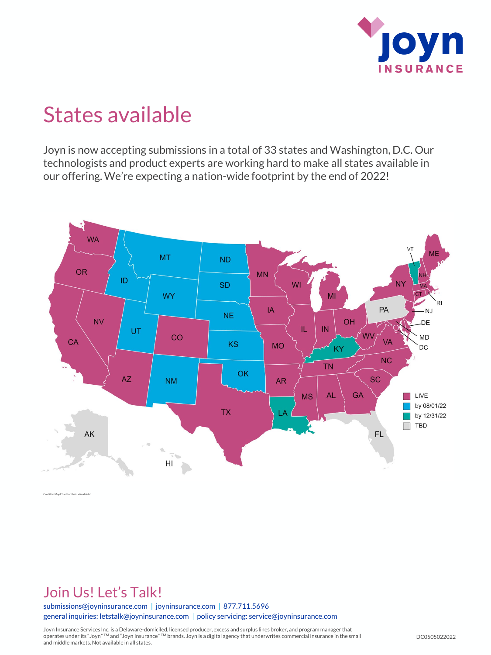

## States available

Joyn is now accepting submissions in a total of 33 states and Washington, D.C. Our technologists and product experts are working hard to make all states available in our offering. We're expecting a nation-wide footprint by the end of 2022!



Credit to MapChart for their visual aids!

### Join Us! Let's Talk!

submissions@joyninsurance.com | joyninsurance.com | 877.711.5696 general inquiries: letstalk@joyninsurance.com | policy servicing: service@joyninsurance.com

Joyn Insurance Services Inc. is a Delaware-domiciled, licensed producer, excess and surplus lines broker, and program manager that operates under its "Joyn" TM and "Joyn Insurance" TM brands. Joyn is a digital agency that underwrites commercial insurance in the small and middle markets. Not available in all states.